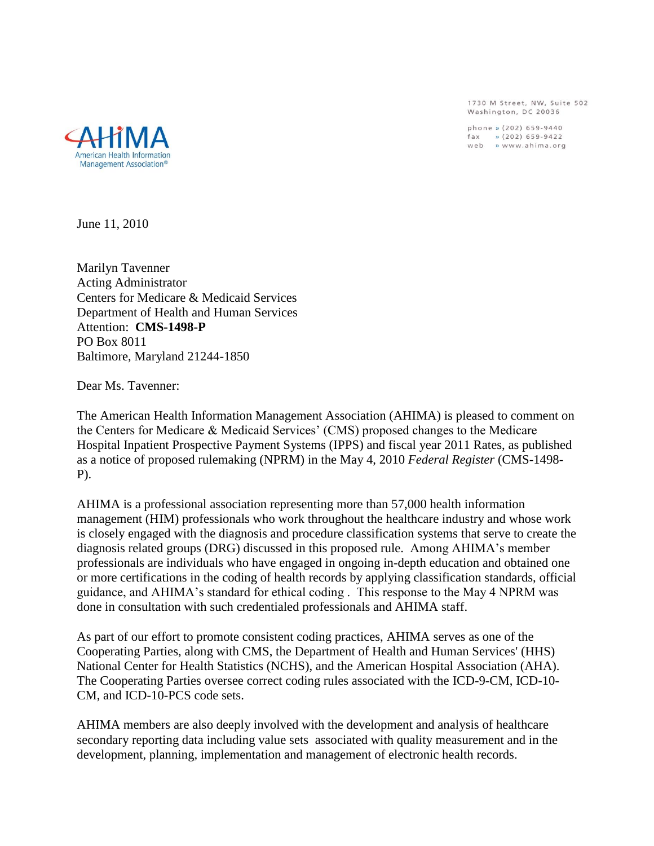1730 M Street, NW, Suite 502 Washington, DC 20036

phone » (202) 659-9440 fax » (202) 659-9422<br>web » www.ahima.org



June 11, 2010

Marilyn Tavenner Acting Administrator Centers for Medicare & Medicaid Services Department of Health and Human Services Attention: **CMS-1498-P** PO Box 8011 Baltimore, Maryland 21244-1850

Dear Ms. Tavenner:

The American Health Information Management Association (AHIMA) is pleased to comment on the Centers for Medicare & Medicaid Services" (CMS) proposed changes to the Medicare Hospital Inpatient Prospective Payment Systems (IPPS) and fiscal year 2011 Rates, as published as a notice of proposed rulemaking (NPRM) in the May 4, 2010 *Federal Register* (CMS-1498- P).

AHIMA is a professional association representing more than 57,000 health information management (HIM) professionals who work throughout the healthcare industry and whose work is closely engaged with the diagnosis and procedure classification systems that serve to create the diagnosis related groups (DRG) discussed in this proposed rule. Among AHIMA"s member professionals are individuals who have engaged in ongoing in-depth education and obtained one or more certifications in the coding of health records by applying classification standards, official guidance, and AHIMA"s standard for ethical coding . This response to the May 4 NPRM was done in consultation with such credentialed professionals and AHIMA staff.

As part of our effort to promote consistent coding practices, AHIMA serves as one of the Cooperating Parties, along with CMS, the Department of Health and Human Services' (HHS) National Center for Health Statistics (NCHS), and the American Hospital Association (AHA). The Cooperating Parties oversee correct coding rules associated with the ICD-9-CM, ICD-10- CM, and ICD-10-PCS code sets.

AHIMA members are also deeply involved with the development and analysis of healthcare secondary reporting data including value sets associated with quality measurement and in the development, planning, implementation and management of electronic health records.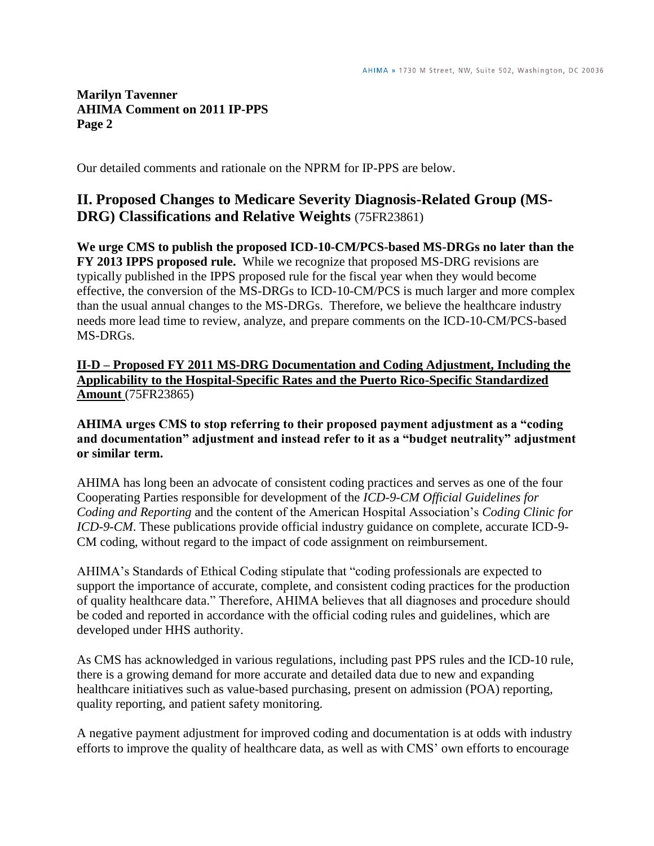Our detailed comments and rationale on the NPRM for IP-PPS are below.

# **II. Proposed Changes to Medicare Severity Diagnosis-Related Group (MS-DRG) Classifications and Relative Weights** (75FR23861)

**We urge CMS to publish the proposed ICD-10-CM/PCS-based MS-DRGs no later than the FY 2013 IPPS proposed rule.** While we recognize that proposed MS-DRG revisions are typically published in the IPPS proposed rule for the fiscal year when they would become effective, the conversion of the MS-DRGs to ICD-10-CM/PCS is much larger and more complex than the usual annual changes to the MS-DRGs. Therefore, we believe the healthcare industry needs more lead time to review, analyze, and prepare comments on the ICD-10-CM/PCS-based MS-DRGs.

**II-D – Proposed FY 2011 MS-DRG Documentation and Coding Adjustment, Including the Applicability to the Hospital-Specific Rates and the Puerto Rico-Specific Standardized Amount** (75FR23865)

**AHIMA urges CMS to stop referring to their proposed payment adjustment as a "coding and documentation" adjustment and instead refer to it as a "budget neutrality" adjustment or similar term.** 

AHIMA has long been an advocate of consistent coding practices and serves as one of the four Cooperating Parties responsible for development of the *ICD-9-CM Official Guidelines for Coding and Reporting* and the content of the American Hospital Association"s *Coding Clinic for ICD-9-CM*. These publications provide official industry guidance on complete, accurate ICD-9- CM coding, without regard to the impact of code assignment on reimbursement.

AHIMA"s Standards of Ethical Coding stipulate that "coding professionals are expected to support the importance of accurate, complete, and consistent coding practices for the production of quality healthcare data." Therefore, AHIMA believes that all diagnoses and procedure should be coded and reported in accordance with the official coding rules and guidelines, which are developed under HHS authority.

As CMS has acknowledged in various regulations, including past PPS rules and the ICD-10 rule, there is a growing demand for more accurate and detailed data due to new and expanding healthcare initiatives such as value-based purchasing, present on admission (POA) reporting, quality reporting, and patient safety monitoring.

A negative payment adjustment for improved coding and documentation is at odds with industry efforts to improve the quality of healthcare data, as well as with CMS" own efforts to encourage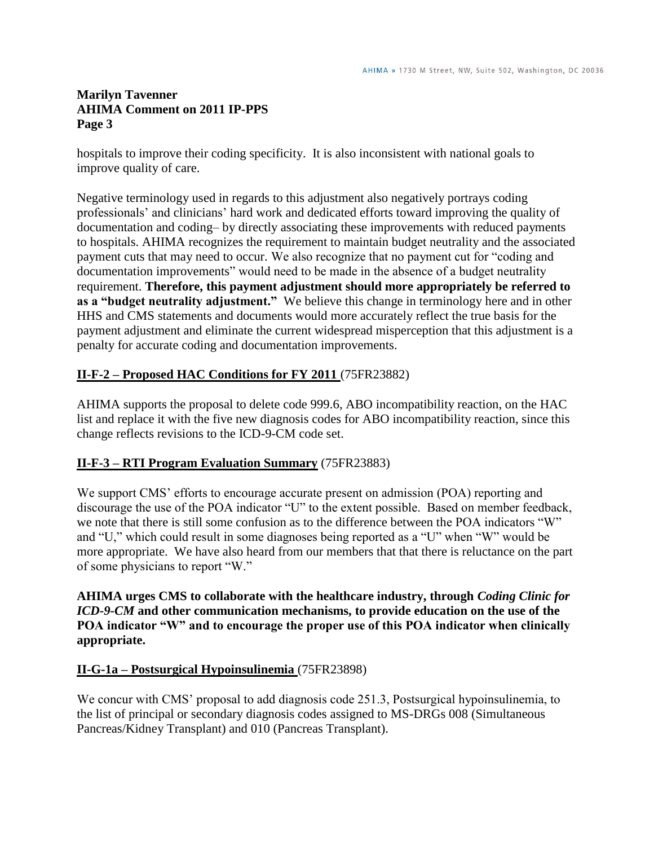hospitals to improve their coding specificity. It is also inconsistent with national goals to improve quality of care.

Negative terminology used in regards to this adjustment also negatively portrays coding professionals" and clinicians" hard work and dedicated efforts toward improving the quality of documentation and coding– by directly associating these improvements with reduced payments to hospitals. AHIMA recognizes the requirement to maintain budget neutrality and the associated payment cuts that may need to occur. We also recognize that no payment cut for "coding and documentation improvements" would need to be made in the absence of a budget neutrality requirement. **Therefore, this payment adjustment should more appropriately be referred to as a "budget neutrality adjustment."** We believe this change in terminology here and in other HHS and CMS statements and documents would more accurately reflect the true basis for the payment adjustment and eliminate the current widespread misperception that this adjustment is a penalty for accurate coding and documentation improvements.

# **II-F-2 – Proposed HAC Conditions for FY 2011** (75FR23882)

AHIMA supports the proposal to delete code 999.6, ABO incompatibility reaction, on the HAC list and replace it with the five new diagnosis codes for ABO incompatibility reaction, since this change reflects revisions to the ICD-9-CM code set.

# **II-F-3 – RTI Program Evaluation Summary** (75FR23883)

We support CMS' efforts to encourage accurate present on admission (POA) reporting and discourage the use of the POA indicator "U" to the extent possible. Based on member feedback, we note that there is still some confusion as to the difference between the POA indicators "W" and "U," which could result in some diagnoses being reported as a "U" when "W" would be more appropriate. We have also heard from our members that that there is reluctance on the part of some physicians to report "W."

#### **AHIMA urges CMS to collaborate with the healthcare industry, through** *Coding Clinic for ICD-9-CM* **and other communication mechanisms, to provide education on the use of the POA indicator "W" and to encourage the proper use of this POA indicator when clinically appropriate.**

#### **II-G-1a – Postsurgical Hypoinsulinemia** (75FR23898)

We concur with CMS' proposal to add diagnosis code 251.3, Postsurgical hypoinsulinemia, to the list of principal or secondary diagnosis codes assigned to MS-DRGs 008 (Simultaneous Pancreas/Kidney Transplant) and 010 (Pancreas Transplant).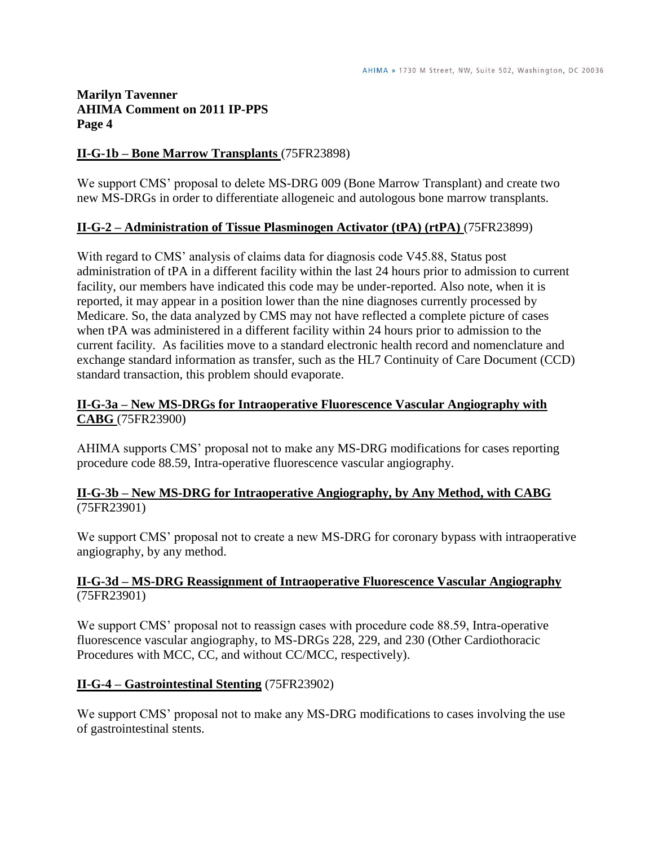#### **II-G-1b – Bone Marrow Transplants** (75FR23898)

We support CMS" proposal to delete MS-DRG 009 (Bone Marrow Transplant) and create two new MS-DRGs in order to differentiate allogeneic and autologous bone marrow transplants.

#### **II-G-2 – Administration of Tissue Plasminogen Activator (tPA) (rtPA)** (75FR23899)

With regard to CMS' analysis of claims data for diagnosis code V45.88, Status post administration of tPA in a different facility within the last 24 hours prior to admission to current facility, our members have indicated this code may be under-reported. Also note, when it is reported, it may appear in a position lower than the nine diagnoses currently processed by Medicare. So, the data analyzed by CMS may not have reflected a complete picture of cases when tPA was administered in a different facility within 24 hours prior to admission to the current facility. As facilities move to a standard electronic health record and nomenclature and exchange standard information as transfer, such as the HL7 Continuity of Care Document (CCD) standard transaction, this problem should evaporate.

#### **II-G-3a – New MS-DRGs for Intraoperative Fluorescence Vascular Angiography with CABG** (75FR23900)

AHIMA supports CMS" proposal not to make any MS-DRG modifications for cases reporting procedure code 88.59, Intra-operative fluorescence vascular angiography.

### **II-G-3b – New MS-DRG for Intraoperative Angiography, by Any Method, with CABG**  (75FR23901)

We support CMS' proposal not to create a new MS-DRG for coronary bypass with intraoperative angiography, by any method.

### **II-G-3d – MS-DRG Reassignment of Intraoperative Fluorescence Vascular Angiography** (75FR23901)

We support CMS' proposal not to reassign cases with procedure code 88.59, Intra-operative fluorescence vascular angiography, to MS-DRGs 228, 229, and 230 (Other Cardiothoracic Procedures with MCC, CC, and without CC/MCC, respectively).

#### **II-G-4 – Gastrointestinal Stenting** (75FR23902)

We support CMS' proposal not to make any MS-DRG modifications to cases involving the use of gastrointestinal stents.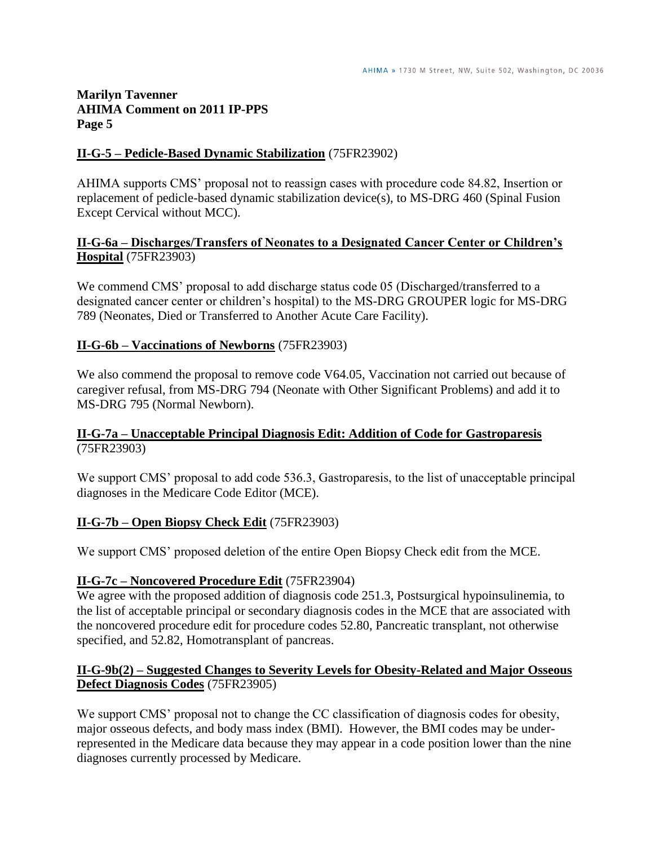#### **II-G-5 – Pedicle-Based Dynamic Stabilization** (75FR23902)

AHIMA supports CMS" proposal not to reassign cases with procedure code 84.82, Insertion or replacement of pedicle-based dynamic stabilization device(s), to MS-DRG 460 (Spinal Fusion Except Cervical without MCC).

#### **II-G-6a – Discharges/Transfers of Neonates to a Designated Cancer Center or Children's Hospital** (75FR23903)

We commend CMS' proposal to add discharge status code 05 (Discharged/transferred to a designated cancer center or children"s hospital) to the MS-DRG GROUPER logic for MS-DRG 789 (Neonates, Died or Transferred to Another Acute Care Facility).

### **II-G-6b – Vaccinations of Newborns** (75FR23903)

We also commend the proposal to remove code V64.05, Vaccination not carried out because of caregiver refusal, from MS-DRG 794 (Neonate with Other Significant Problems) and add it to MS-DRG 795 (Normal Newborn).

#### **II-G-7a – Unacceptable Principal Diagnosis Edit: Addition of Code for Gastroparesis** (75FR23903)

We support CMS' proposal to add code 536.3, Gastroparesis, to the list of unacceptable principal diagnoses in the Medicare Code Editor (MCE).

#### **II-G-7b – Open Biopsy Check Edit** (75FR23903)

We support CMS" proposed deletion of the entire Open Biopsy Check edit from the MCE.

#### **II-G-7c – Noncovered Procedure Edit** (75FR23904)

We agree with the proposed addition of diagnosis code 251.3, Postsurgical hypoinsulinemia, to the list of acceptable principal or secondary diagnosis codes in the MCE that are associated with the noncovered procedure edit for procedure codes 52.80, Pancreatic transplant, not otherwise specified, and 52.82, Homotransplant of pancreas.

### **II-G-9b(2) – Suggested Changes to Severity Levels for Obesity-Related and Major Osseous Defect Diagnosis Codes** (75FR23905)

We support CMS' proposal not to change the CC classification of diagnosis codes for obesity, major osseous defects, and body mass index (BMI). However, the BMI codes may be underrepresented in the Medicare data because they may appear in a code position lower than the nine diagnoses currently processed by Medicare.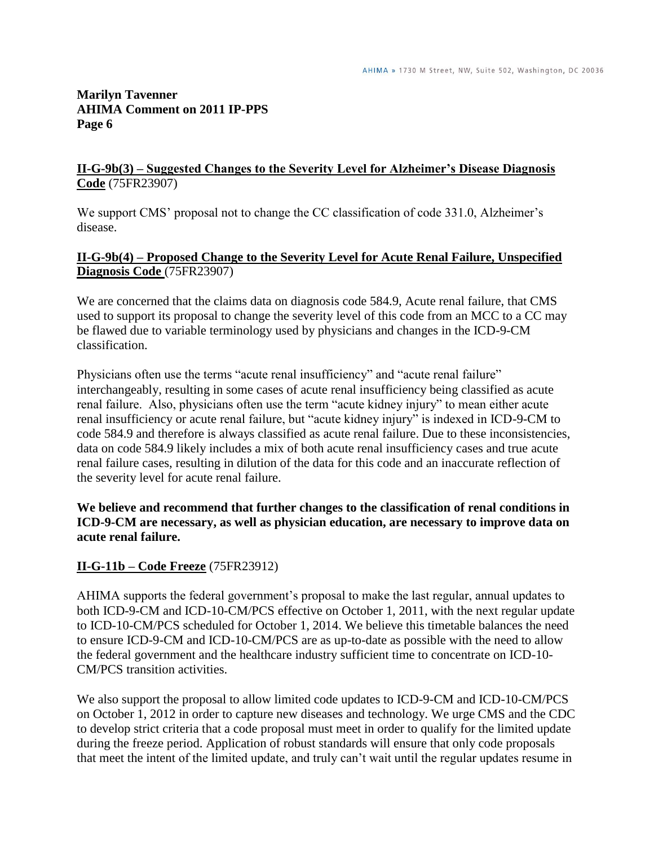#### **II-G-9b(3) – Suggested Changes to the Severity Level for Alzheimer's Disease Diagnosis Code** (75FR23907)

We support CMS' proposal not to change the CC classification of code 331.0, Alzheimer's disease.

#### **II-G-9b(4) – Proposed Change to the Severity Level for Acute Renal Failure, Unspecified Diagnosis Code** (75FR23907)

We are concerned that the claims data on diagnosis code 584.9, Acute renal failure, that CMS used to support its proposal to change the severity level of this code from an MCC to a CC may be flawed due to variable terminology used by physicians and changes in the ICD-9-CM classification.

Physicians often use the terms "acute renal insufficiency" and "acute renal failure" interchangeably, resulting in some cases of acute renal insufficiency being classified as acute renal failure. Also, physicians often use the term "acute kidney injury" to mean either acute renal insufficiency or acute renal failure, but "acute kidney injury" is indexed in ICD-9-CM to code 584.9 and therefore is always classified as acute renal failure. Due to these inconsistencies, data on code 584.9 likely includes a mix of both acute renal insufficiency cases and true acute renal failure cases, resulting in dilution of the data for this code and an inaccurate reflection of the severity level for acute renal failure.

### **We believe and recommend that further changes to the classification of renal conditions in ICD-9-CM are necessary, as well as physician education, are necessary to improve data on acute renal failure.**

# **II-G-11b – Code Freeze** (75FR23912)

AHIMA supports the federal government"s proposal to make the last regular, annual updates to both ICD-9-CM and ICD-10-CM/PCS effective on October 1, 2011, with the next regular update to ICD-10-CM/PCS scheduled for October 1, 2014. We believe this timetable balances the need to ensure ICD-9-CM and ICD-10-CM/PCS are as up-to-date as possible with the need to allow the federal government and the healthcare industry sufficient time to concentrate on ICD-10- CM/PCS transition activities.

We also support the proposal to allow limited code updates to ICD-9-CM and ICD-10-CM/PCS on October 1, 2012 in order to capture new diseases and technology. We urge CMS and the CDC to develop strict criteria that a code proposal must meet in order to qualify for the limited update during the freeze period. Application of robust standards will ensure that only code proposals that meet the intent of the limited update, and truly can"t wait until the regular updates resume in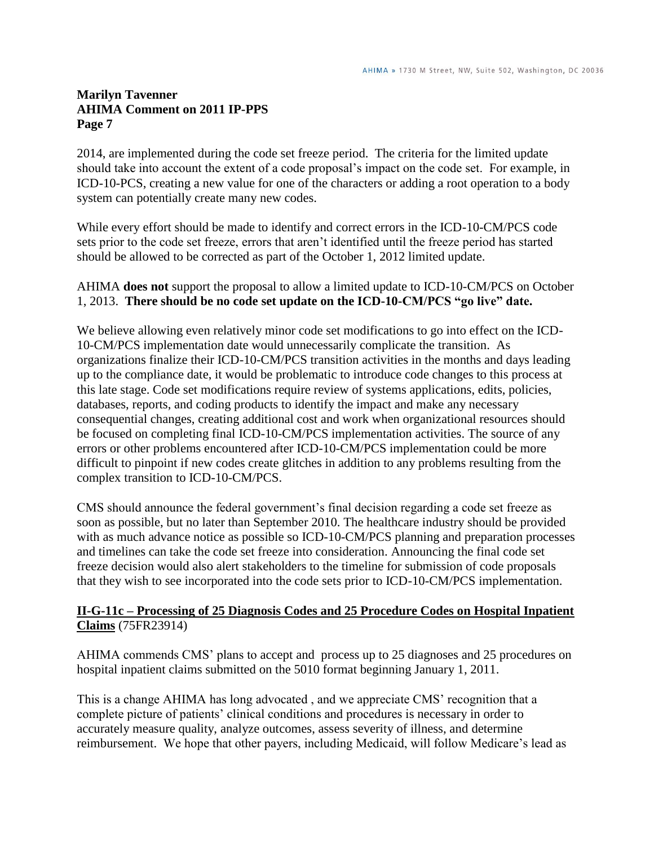2014, are implemented during the code set freeze period. The criteria for the limited update should take into account the extent of a code proposal"s impact on the code set. For example, in ICD-10-PCS, creating a new value for one of the characters or adding a root operation to a body system can potentially create many new codes.

While every effort should be made to identify and correct errors in the ICD-10-CM/PCS code sets prior to the code set freeze, errors that aren"t identified until the freeze period has started should be allowed to be corrected as part of the October 1, 2012 limited update.

#### AHIMA **does not** support the proposal to allow a limited update to ICD-10-CM/PCS on October 1, 2013. **There should be no code set update on the ICD-10-CM/PCS "go live" date.**

We believe allowing even relatively minor code set modifications to go into effect on the ICD-10-CM/PCS implementation date would unnecessarily complicate the transition. As organizations finalize their ICD-10-CM/PCS transition activities in the months and days leading up to the compliance date, it would be problematic to introduce code changes to this process at this late stage. Code set modifications require review of systems applications, edits, policies, databases, reports, and coding products to identify the impact and make any necessary consequential changes, creating additional cost and work when organizational resources should be focused on completing final ICD-10-CM/PCS implementation activities. The source of any errors or other problems encountered after ICD-10-CM/PCS implementation could be more difficult to pinpoint if new codes create glitches in addition to any problems resulting from the complex transition to ICD-10-CM/PCS.

CMS should announce the federal government"s final decision regarding a code set freeze as soon as possible, but no later than September 2010. The healthcare industry should be provided with as much advance notice as possible so ICD-10-CM/PCS planning and preparation processes and timelines can take the code set freeze into consideration. Announcing the final code set freeze decision would also alert stakeholders to the timeline for submission of code proposals that they wish to see incorporated into the code sets prior to ICD-10-CM/PCS implementation.

### **II-G-11c – Processing of 25 Diagnosis Codes and 25 Procedure Codes on Hospital Inpatient Claims** (75FR23914)

AHIMA commends CMS" plans to accept and process up to 25 diagnoses and 25 procedures on hospital inpatient claims submitted on the 5010 format beginning January 1, 2011.

This is a change AHIMA has long advocated , and we appreciate CMS" recognition that a complete picture of patients' clinical conditions and procedures is necessary in order to accurately measure quality, analyze outcomes, assess severity of illness, and determine reimbursement. We hope that other payers, including Medicaid, will follow Medicare's lead as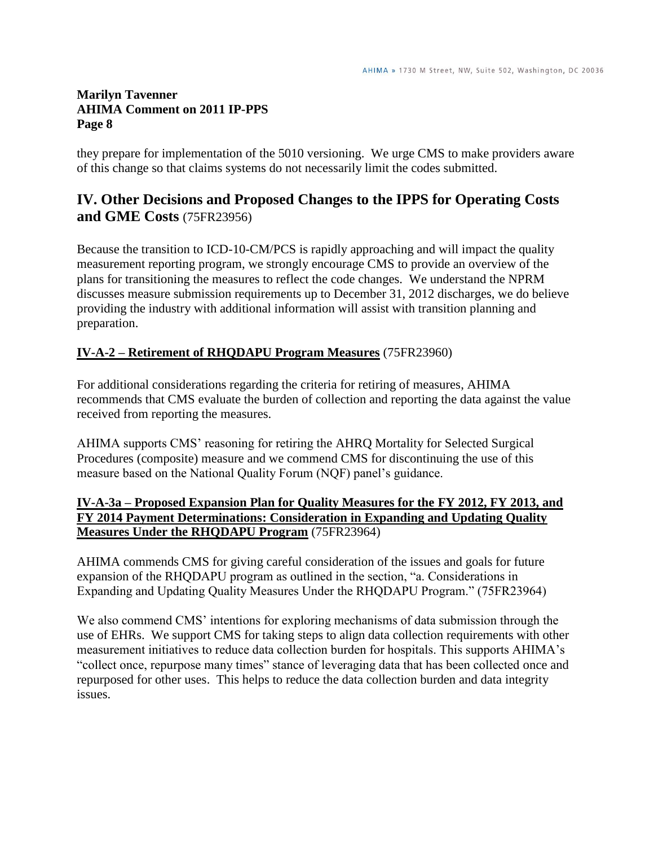they prepare for implementation of the 5010 versioning. We urge CMS to make providers aware of this change so that claims systems do not necessarily limit the codes submitted.

# **IV. Other Decisions and Proposed Changes to the IPPS for Operating Costs and GME Costs** (75FR23956)

Because the transition to ICD-10-CM/PCS is rapidly approaching and will impact the quality measurement reporting program, we strongly encourage CMS to provide an overview of the plans for transitioning the measures to reflect the code changes. We understand the NPRM discusses measure submission requirements up to December 31, 2012 discharges, we do believe providing the industry with additional information will assist with transition planning and preparation.

# **IV-A-2 – Retirement of RHQDAPU Program Measures** (75FR23960)

For additional considerations regarding the criteria for retiring of measures, AHIMA recommends that CMS evaluate the burden of collection and reporting the data against the value received from reporting the measures.

AHIMA supports CMS" reasoning for retiring the AHRQ Mortality for Selected Surgical Procedures (composite) measure and we commend CMS for discontinuing the use of this measure based on the National Quality Forum (NQF) panel"s guidance.

# **IV-A-3a – Proposed Expansion Plan for Quality Measures for the FY 2012, FY 2013, and FY 2014 Payment Determinations: Consideration in Expanding and Updating Quality Measures Under the RHQDAPU Program** (75FR23964)

AHIMA commends CMS for giving careful consideration of the issues and goals for future expansion of the RHQDAPU program as outlined in the section, "a. Considerations in Expanding and Updating Quality Measures Under the RHQDAPU Program." (75FR23964)

We also commend CMS' intentions for exploring mechanisms of data submission through the use of EHRs. We support CMS for taking steps to align data collection requirements with other measurement initiatives to reduce data collection burden for hospitals. This supports AHIMA"s "collect once, repurpose many times" stance of leveraging data that has been collected once and repurposed for other uses. This helps to reduce the data collection burden and data integrity issues.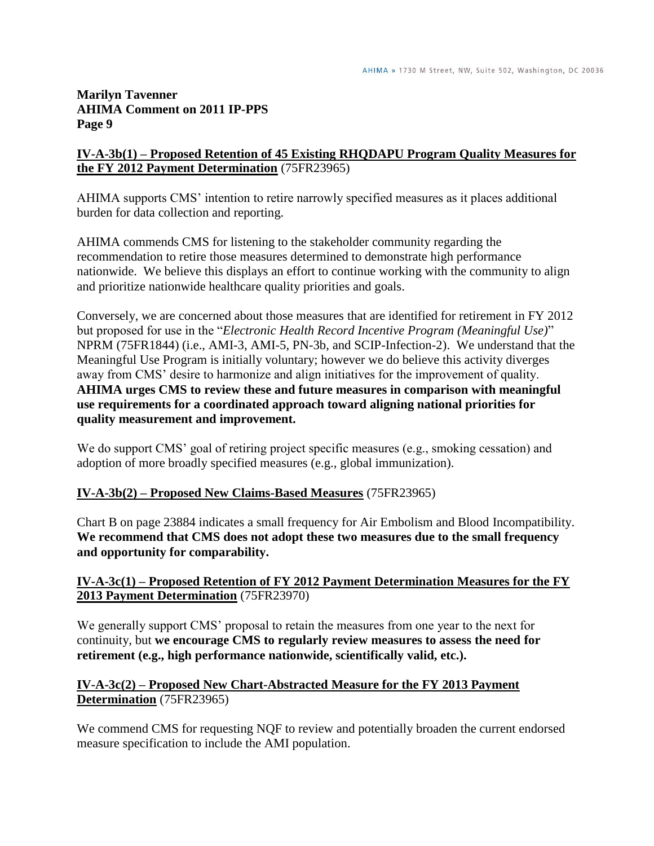# **IV-A-3b(1) – Proposed Retention of 45 Existing RHQDAPU Program Quality Measures for the FY 2012 Payment Determination** (75FR23965)

AHIMA supports CMS" intention to retire narrowly specified measures as it places additional burden for data collection and reporting.

AHIMA commends CMS for listening to the stakeholder community regarding the recommendation to retire those measures determined to demonstrate high performance nationwide. We believe this displays an effort to continue working with the community to align and prioritize nationwide healthcare quality priorities and goals.

Conversely, we are concerned about those measures that are identified for retirement in FY 2012 but proposed for use in the "*Electronic Health Record Incentive Program (Meaningful Use)*" NPRM (75FR1844) (i.e., AMI-3, AMI-5, PN-3b, and SCIP-Infection-2). We understand that the Meaningful Use Program is initially voluntary; however we do believe this activity diverges away from CMS" desire to harmonize and align initiatives for the improvement of quality. **AHIMA urges CMS to review these and future measures in comparison with meaningful use requirements for a coordinated approach toward aligning national priorities for quality measurement and improvement.**

We do support CMS' goal of retiring project specific measures (e.g., smoking cessation) and adoption of more broadly specified measures (e.g., global immunization).

# **IV-A-3b(2) – Proposed New Claims-Based Measures** (75FR23965)

Chart B on page 23884 indicates a small frequency for Air Embolism and Blood Incompatibility. **We recommend that CMS does not adopt these two measures due to the small frequency and opportunity for comparability.**

### **IV-A-3c(1) – Proposed Retention of FY 2012 Payment Determination Measures for the FY 2013 Payment Determination** (75FR23970)

We generally support CMS' proposal to retain the measures from one year to the next for continuity, but **we encourage CMS to regularly review measures to assess the need for retirement (e.g., high performance nationwide, scientifically valid, etc.).**

### **IV-A-3c(2) – Proposed New Chart-Abstracted Measure for the FY 2013 Payment Determination** (75FR23965)

We commend CMS for requesting NQF to review and potentially broaden the current endorsed measure specification to include the AMI population.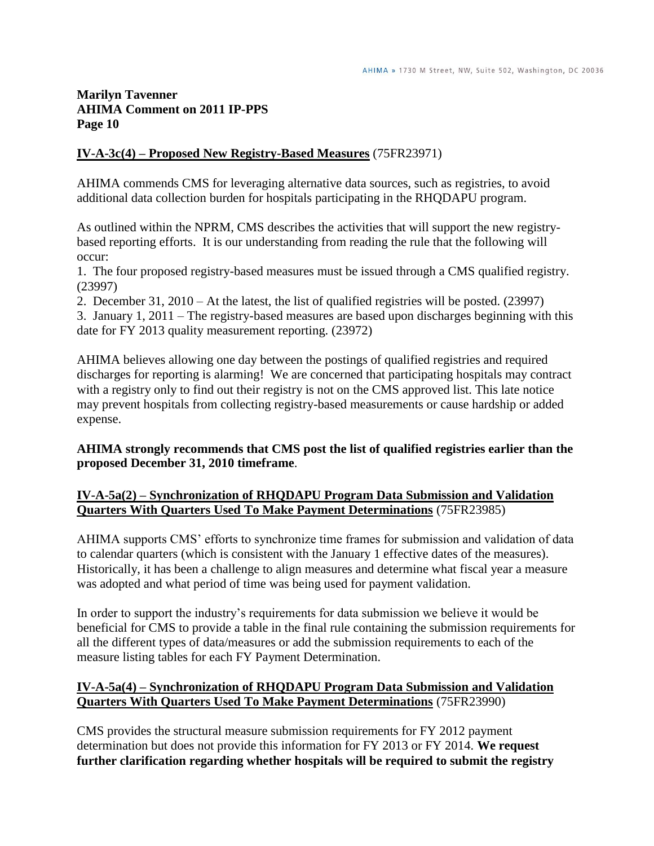### **IV-A-3c(4) – Proposed New Registry-Based Measures** (75FR23971)

AHIMA commends CMS for leveraging alternative data sources, such as registries, to avoid additional data collection burden for hospitals participating in the RHQDAPU program.

As outlined within the NPRM, CMS describes the activities that will support the new registrybased reporting efforts. It is our understanding from reading the rule that the following will occur:

1. The four proposed registry-based measures must be issued through a CMS qualified registry. (23997)

2. December 31, 2010 – At the latest, the list of qualified registries will be posted. (23997)

3. January 1, 2011 – The registry-based measures are based upon discharges beginning with this date for FY 2013 quality measurement reporting. (23972)

AHIMA believes allowing one day between the postings of qualified registries and required discharges for reporting is alarming! We are concerned that participating hospitals may contract with a registry only to find out their registry is not on the CMS approved list. This late notice may prevent hospitals from collecting registry-based measurements or cause hardship or added expense.

#### **AHIMA strongly recommends that CMS post the list of qualified registries earlier than the proposed December 31, 2010 timeframe**.

### **IV-A-5a(2) – Synchronization of RHQDAPU Program Data Submission and Validation Quarters With Quarters Used To Make Payment Determinations** (75FR23985)

AHIMA supports CMS" efforts to synchronize time frames for submission and validation of data to calendar quarters (which is consistent with the January 1 effective dates of the measures). Historically, it has been a challenge to align measures and determine what fiscal year a measure was adopted and what period of time was being used for payment validation.

In order to support the industry"s requirements for data submission we believe it would be beneficial for CMS to provide a table in the final rule containing the submission requirements for all the different types of data/measures or add the submission requirements to each of the measure listing tables for each FY Payment Determination.

### **IV-A-5a(4) – Synchronization of RHQDAPU Program Data Submission and Validation Quarters With Quarters Used To Make Payment Determinations** (75FR23990)

CMS provides the structural measure submission requirements for FY 2012 payment determination but does not provide this information for FY 2013 or FY 2014. **We request further clarification regarding whether hospitals will be required to submit the registry**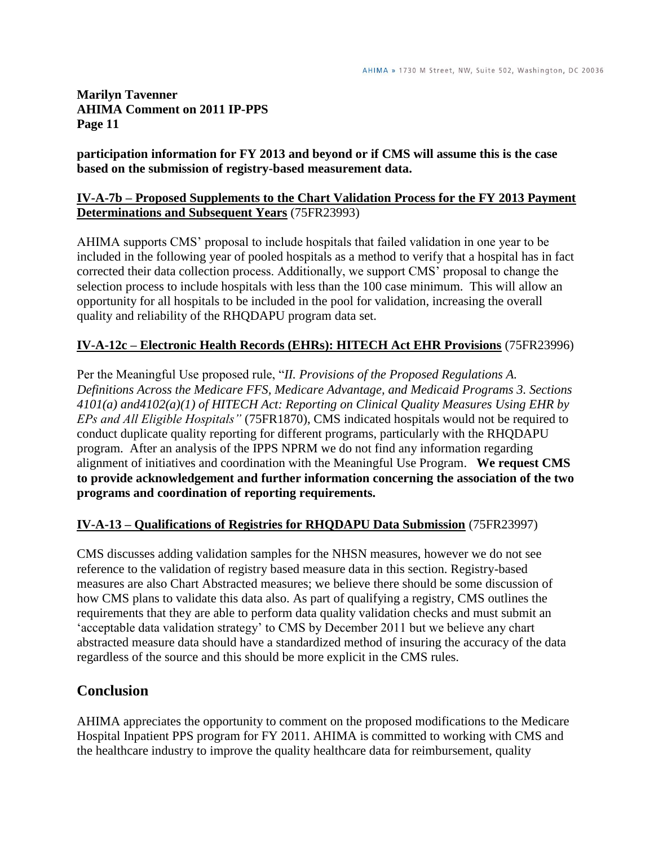### **participation information for FY 2013 and beyond or if CMS will assume this is the case based on the submission of registry-based measurement data.**

### **IV-A-7b – Proposed Supplements to the Chart Validation Process for the FY 2013 Payment Determinations and Subsequent Years** (75FR23993)

AHIMA supports CMS" proposal to include hospitals that failed validation in one year to be included in the following year of pooled hospitals as a method to verify that a hospital has in fact corrected their data collection process. Additionally, we support CMS" proposal to change the selection process to include hospitals with less than the 100 case minimum. This will allow an opportunity for all hospitals to be included in the pool for validation, increasing the overall quality and reliability of the RHQDAPU program data set.

# **IV-A-12c – Electronic Health Records (EHRs): HITECH Act EHR Provisions** (75FR23996)

Per the Meaningful Use proposed rule, "*II. Provisions of the Proposed Regulations A. Definitions Across the Medicare FFS, Medicare Advantage, and Medicaid Programs 3. Sections 4101(a) and4102(a)(1) of HITECH Act: Reporting on Clinical Quality Measures Using EHR by EPs and All Eligible Hospitals"* (75FR1870), CMS indicated hospitals would not be required to conduct duplicate quality reporting for different programs, particularly with the RHQDAPU program. After an analysis of the IPPS NPRM we do not find any information regarding alignment of initiatives and coordination with the Meaningful Use Program. **We request CMS to provide acknowledgement and further information concerning the association of the two programs and coordination of reporting requirements.**

# **IV-A-13 – Qualifications of Registries for RHQDAPU Data Submission** (75FR23997)

CMS discusses adding validation samples for the NHSN measures, however we do not see reference to the validation of registry based measure data in this section. Registry-based measures are also Chart Abstracted measures; we believe there should be some discussion of how CMS plans to validate this data also. As part of qualifying a registry, CMS outlines the requirements that they are able to perform data quality validation checks and must submit an "acceptable data validation strategy" to CMS by December 2011 but we believe any chart abstracted measure data should have a standardized method of insuring the accuracy of the data regardless of the source and this should be more explicit in the CMS rules.

# **Conclusion**

AHIMA appreciates the opportunity to comment on the proposed modifications to the Medicare Hospital Inpatient PPS program for FY 2011. AHIMA is committed to working with CMS and the healthcare industry to improve the quality healthcare data for reimbursement, quality